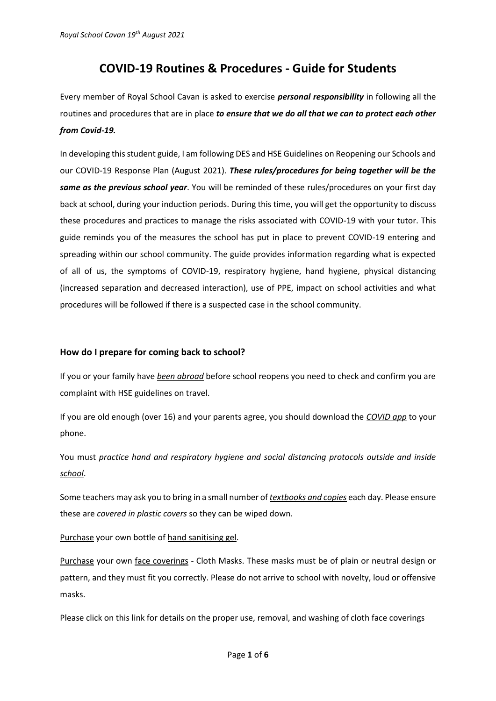# **COVID-19 Routines & Procedures - Guide for Students**

Every member of Royal School Cavan is asked to exercise *personal responsibility* in following all the routines and procedures that are in place *to ensure that we do all that we can to protect each other from Covid-19.*

In developing this student guide, I am following DES and HSE Guidelines on Reopening our Schools and our COVID-19 Response Plan (August 2021). *These rules/procedures for being together will be the same as the previous school year*. You will be reminded of these rules/procedures on your first day back at school, during your induction periods. During this time, you will get the opportunity to discuss these procedures and practices to manage the risks associated with COVID-19 with your tutor. This guide reminds you of the measures the school has put in place to prevent COVID-19 entering and spreading within our school community. The guide provides information regarding what is expected of all of us, the symptoms of COVID-19, respiratory hygiene, hand hygiene, physical distancing (increased separation and decreased interaction), use of PPE, impact on school activities and what procedures will be followed if there is a suspected case in the school community.

# **How do I prepare for coming back to school?**

If you or your family have *been abroad* before school reopens you need to check and confirm you are complaint with HSE guidelines on travel.

If you are old enough (over 16) and your parents agree, you should download the *COVID app* to your phone.

You must *practice hand and respiratory hygiene and social distancing protocols outside and inside school*.

Some teachers may ask you to bring in a small number of *textbooks and copies* each day. Please ensure these are *covered in plastic covers* so they can be wiped down.

Purchase your own bottle of hand sanitising gel.

Purchase your own face coverings - Cloth Masks. These masks must be of plain or neutral design or pattern, and they must fit you correctly. Please do not arrive to school with novelty, loud or offensive masks.

Please click on this link for details on the proper use, removal, and washing of cloth face coverings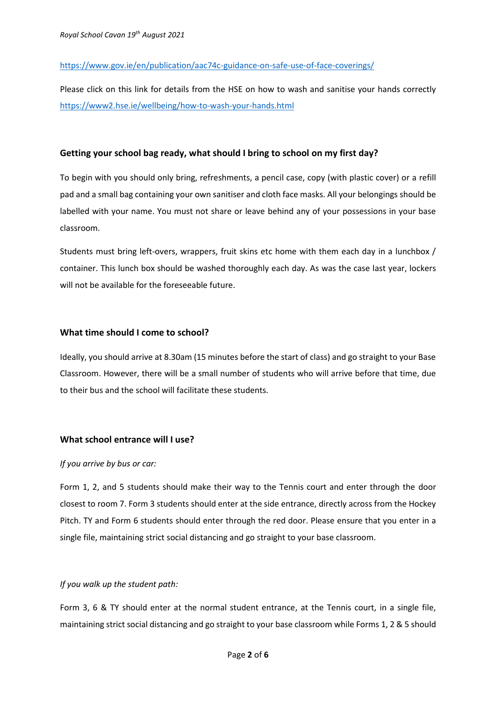## <https://www.gov.ie/en/publication/aac74c-guidance-on-safe-use-of-face-coverings/>

Please click on this link for details from the HSE on how to wash and sanitise your hands correctly <https://www2.hse.ie/wellbeing/how-to-wash-your-hands.html>

## **Getting your school bag ready, what should I bring to school on my first day?**

To begin with you should only bring, refreshments, a pencil case, copy (with plastic cover) or a refill pad and a small bag containing your own sanitiser and cloth face masks. All your belongings should be labelled with your name. You must not share or leave behind any of your possessions in your base classroom.

Students must bring left-overs, wrappers, fruit skins etc home with them each day in a lunchbox / container. This lunch box should be washed thoroughly each day. As was the case last year, lockers will not be available for the foreseeable future.

## **What time should I come to school?**

Ideally, you should arrive at 8.30am (15 minutes before the start of class) and go straight to your Base Classroom. However, there will be a small number of students who will arrive before that time, due to their bus and the school will facilitate these students.

## **What school entrance will I use?**

#### *If you arrive by bus or car:*

Form 1, 2, and 5 students should make their way to the Tennis court and enter through the door closest to room 7. Form 3 students should enter at the side entrance, directly across from the Hockey Pitch. TY and Form 6 students should enter through the red door. Please ensure that you enter in a single file, maintaining strict social distancing and go straight to your base classroom.

#### *If you walk up the student path:*

Form 3, 6 & TY should enter at the normal student entrance, at the Tennis court, in a single file, maintaining strict social distancing and go straight to your base classroom while Forms 1, 2 & 5 should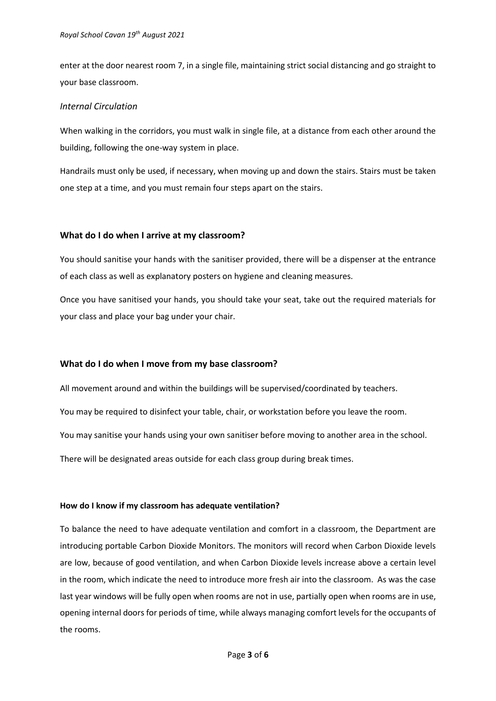enter at the door nearest room 7, in a single file, maintaining strict social distancing and go straight to your base classroom.

#### *Internal Circulation*

When walking in the corridors, you must walk in single file, at a distance from each other around the building, following the one-way system in place.

Handrails must only be used, if necessary, when moving up and down the stairs. Stairs must be taken one step at a time, and you must remain four steps apart on the stairs.

#### **What do I do when I arrive at my classroom?**

You should sanitise your hands with the sanitiser provided, there will be a dispenser at the entrance of each class as well as explanatory posters on hygiene and cleaning measures.

Once you have sanitised your hands, you should take your seat, take out the required materials for your class and place your bag under your chair.

#### **What do I do when I move from my base classroom?**

All movement around and within the buildings will be supervised/coordinated by teachers.

You may be required to disinfect your table, chair, or workstation before you leave the room.

You may sanitise your hands using your own sanitiser before moving to another area in the school.

There will be designated areas outside for each class group during break times.

#### **How do I know if my classroom has adequate ventilation?**

To balance the need to have adequate ventilation and comfort in a classroom, the Department are introducing portable Carbon Dioxide Monitors. The monitors will record when Carbon Dioxide levels are low, because of good ventilation, and when Carbon Dioxide levels increase above a certain level in the room, which indicate the need to introduce more fresh air into the classroom. As was the case last year windows will be fully open when rooms are not in use, partially open when rooms are in use, opening internal doors for periods of time, while always managing comfort levels for the occupants of the rooms.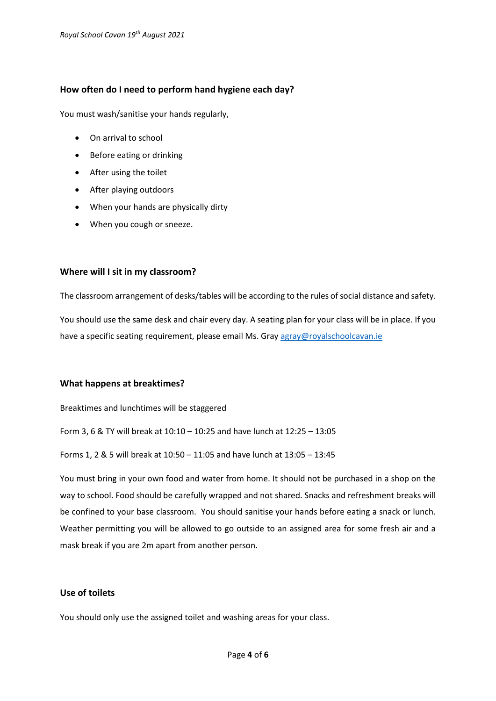## **How often do I need to perform hand hygiene each day?**

You must wash/sanitise your hands regularly,

- On arrival to school
- Before eating or drinking
- After using the toilet
- After playing outdoors
- When your hands are physically dirty
- When you cough or sneeze.

#### **Where will I sit in my classroom?**

The classroom arrangement of desks/tables will be according to the rules of social distance and safety.

You should use the same desk and chair every day. A seating plan for your class will be in place. If you have a specific seating requirement, please email Ms. Gra[y agray@royalschoolcavan.ie](mailto:agray@royalschoolcavan.ie)

#### **What happens at breaktimes?**

Breaktimes and lunchtimes will be staggered

Form 3, 6 & TY will break at 10:10 – 10:25 and have lunch at 12:25 – 13:05

Forms 1, 2 & 5 will break at 10:50 – 11:05 and have lunch at 13:05 – 13:45

You must bring in your own food and water from home. It should not be purchased in a shop on the way to school. Food should be carefully wrapped and not shared. Snacks and refreshment breaks will be confined to your base classroom. You should sanitise your hands before eating a snack or lunch. Weather permitting you will be allowed to go outside to an assigned area for some fresh air and a mask break if you are 2m apart from another person.

## **Use of toilets**

You should only use the assigned toilet and washing areas for your class.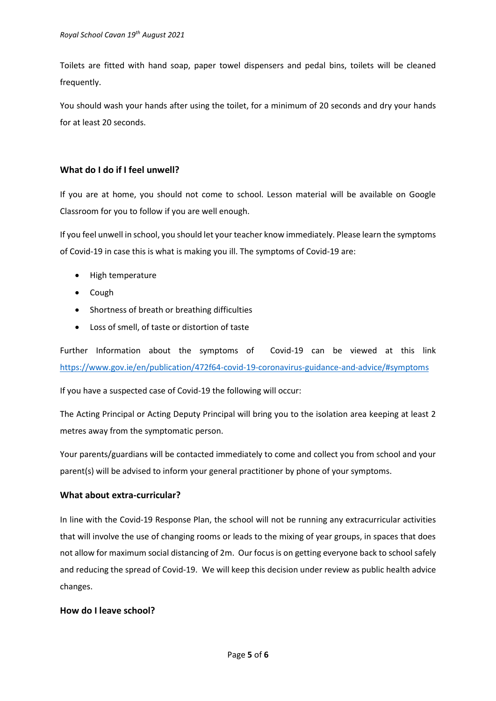Toilets are fitted with hand soap, paper towel dispensers and pedal bins, toilets will be cleaned frequently.

You should wash your hands after using the toilet, for a minimum of 20 seconds and dry your hands for at least 20 seconds.

# **What do I do if I feel unwell?**

If you are at home, you should not come to school. Lesson material will be available on Google Classroom for you to follow if you are well enough.

If you feel unwell in school, you should let your teacher know immediately. Please learn the symptoms of Covid-19 in case this is what is making you ill. The symptoms of Covid-19 are:

- High temperature
- Cough
- Shortness of breath or breathing difficulties
- Loss of smell, of taste or distortion of taste

Further Information about the symptoms of Covid-19 can be viewed at this link <https://www.gov.ie/en/publication/472f64-covid-19-coronavirus-guidance-and-advice/#symptoms>

If you have a suspected case of Covid-19 the following will occur:

The Acting Principal or Acting Deputy Principal will bring you to the isolation area keeping at least 2 metres away from the symptomatic person.

Your parents/guardians will be contacted immediately to come and collect you from school and your parent(s) will be advised to inform your general practitioner by phone of your symptoms.

## **What about extra-curricular?**

In line with the Covid-19 Response Plan, the school will not be running any extracurricular activities that will involve the use of changing rooms or leads to the mixing of year groups, in spaces that does not allow for maximum social distancing of 2m. Our focus is on getting everyone back to school safely and reducing the spread of Covid-19. We will keep this decision under review as public health advice changes.

## **How do I leave school?**